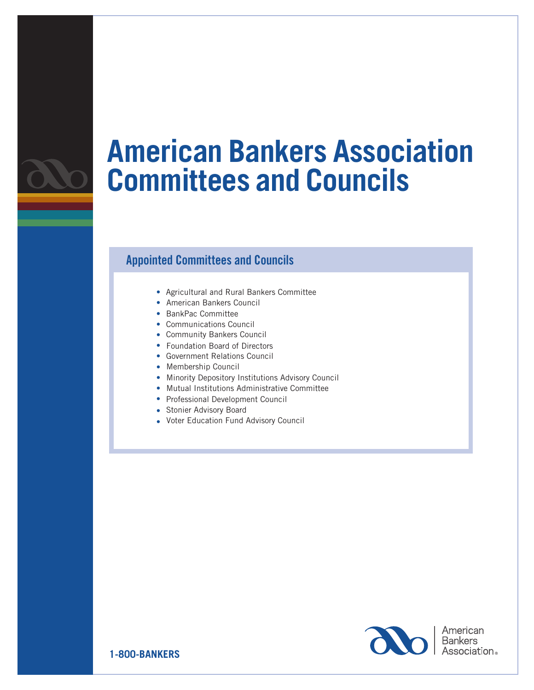

## **American Bankers Association Committees and Councils**

## Appointed Committees and Councils

- Agricultural and Rural Bankers Committee
- American Bankers Council
- BankPac Committee
- Communications Council
- Community Bankers Council
- Foundation Board of Directors
- Government Relations Council
- Membership Council
- Minority Depository Institutions Advisory Council
- Mutual Institutions Administrative Committee
- Professional Development Council
- Stonier Advisory Board
- Voter Education Fund Advisory Council



American **Bankers** Association.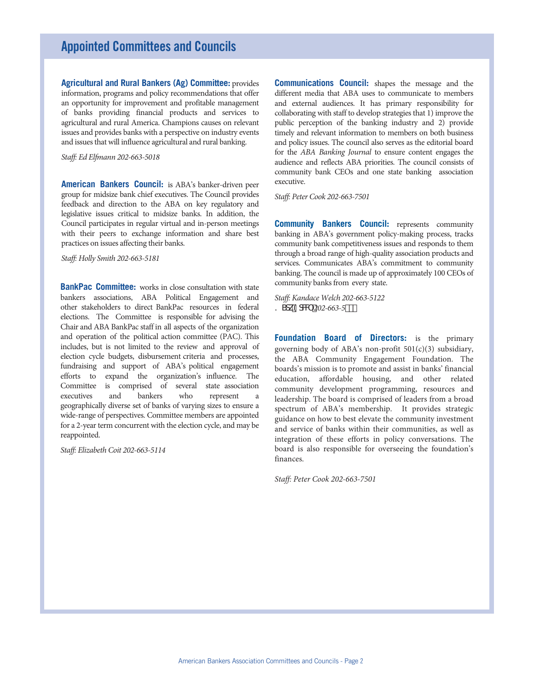**Agricultural and Rural Bankers (Ag) Committee:** provides information, programs and policy recommendations that offer an opportunity for improvement and profitable management of banks providing financial products and services to agricultural and rural America. Champions causes on relevant issues and provides banks with a perspective on industry events and issues that will influence agricultural and rural banking.

*Staff: Ed Elfmann 202-663-5018* 

**American Bankers Council:** is ABA's banker-driven peer group for midsize bank chief executives. The Council provides feedback and direction to the ABA on key regulatory and legislative issues critical to midsize banks. In addition, the Council participates in regular virtual and in-person meetings with their peers to exchange information and share best practices on issues affecting their banks.

*Staff: Holly Smith 202-663-5181*

**BankPac Committee:** works in close consultation with state bankers associations, ABA Political Engagement and other stakeholders to direct BankPac resources in federal elections. The Committee is responsible for advising the Chair and ABA BankPac staff in all aspects of the organization and operation of the political action committee (PAC). This includes, but is not limited to the review and approval of election cycle budgets, disbursement criteria and processes, fundraising and support of ABA's political engagement efforts to expand the organization's influence. The Committee is comprised of several state association executives and bankers who represent geographically diverse set of banks of varying sizes to ensure a wide-range of perspectives. Committee members are appointed for a 2-year term concurrent with the election cycle, and may be reappointed.

*Staff: Elizabeth Coit 202-663-5114*

**Communications Council:** shapes the message and the different media that ABA uses to communicate to members and external audiences. It has primary responsibility for collaborating with staff to develop strategies that 1) improve the public perception of the banking industry and 2) provide timely and relevant information to members on both business and policy issues. The council also serves as the editorial board for the *ABA Banking Journal* to ensure content engages the audience and reflects ABA priorities. The council consists of community bank CEOs and one state banking association executive.

*Staff: Peter Cook 202-663-7501*

**Community Bankers Council:** represents community banking in ABA's government policy-making process, tracks community bank competitiveness issues and responds to them through a broad range of high-quality association products and services. Communicates ABA's commitment to community banking. The council is made up of approximately 100 CEOs of community banks from every state.

*Staff: Kandace Welch 202-663-5122*  ? Sck9cW<sub>202-663-5</sub>")(

**Foundation Board of Directors:** is the primary governing body of ABA's non-profit  $501(c)(3)$  subsidiary, the ABA Community Engagement Foundation. The boards's mission is to promote and assist in banks' financial education, affordable housing, and other related community development programming, resources and leadership. The board is comprised of leaders from a broad spectrum of ABA's membership. It provides strategic guidance on how to best elevate the community investment and service of banks within their communities, as well as integration of these efforts in policy conversations. The board is also responsible for overseeing the foundation's finances.

*Staff: Peter Cook 202-663-7501*